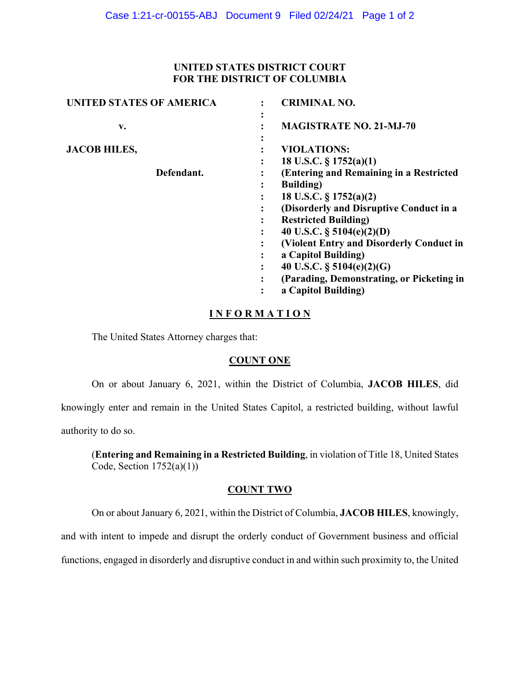### **UNITED STATES DISTRICT COURT FOR THE DISTRICT OF COLUMBIA**

| <b>UNITED STATES OF AMERICA</b> | <b>CRIMINAL NO.</b>                                      |
|---------------------------------|----------------------------------------------------------|
| v.                              | $\bullet$<br><b>MAGISTRATE NO. 21-MJ-70</b><br>$\bullet$ |
| <b>JACOB HILES,</b>             | $\bullet$<br><b>VIOLATIONS:</b>                          |
|                                 | 18 U.S.C. $\S 1752(a)(1)$                                |
| Defendant.                      | (Entering and Remaining in a Restricted                  |
|                                 | <b>Building</b> )<br>٠                                   |
|                                 | 18 U.S.C. $\S 1752(a)(2)$                                |
|                                 | (Disorderly and Disruptive Conduct in a                  |
|                                 | <b>Restricted Building)</b><br>٠                         |
|                                 | 40 U.S.C. $\S$ 5104(e)(2)(D)<br>٠                        |
|                                 | (Violent Entry and Disorderly Conduct in                 |
|                                 | a Capitol Building)                                      |
|                                 | 40 U.S.C. $\S$ 5104(e)(2)(G)                             |
|                                 | (Parading, Demonstrating, or Picketing in<br>٠           |
|                                 | a Capitol Building)                                      |

## **I N F O R M A T I O N**

The United States Attorney charges that:

## **COUNT ONE**

On or about January 6, 2021, within the District of Columbia, **JACOB HILES**, did

knowingly enter and remain in the United States Capitol, a restricted building, without lawful

authority to do so.

(**Entering and Remaining in a Restricted Building**, in violation of Title 18, United States Code, Section  $1752(a)(1)$ )

#### **COUNT TWO**

On or about January 6, 2021, within the District of Columbia, **JACOB HILES**, knowingly,

and with intent to impede and disrupt the orderly conduct of Government business and official

functions, engaged in disorderly and disruptive conduct in and within such proximity to, the United